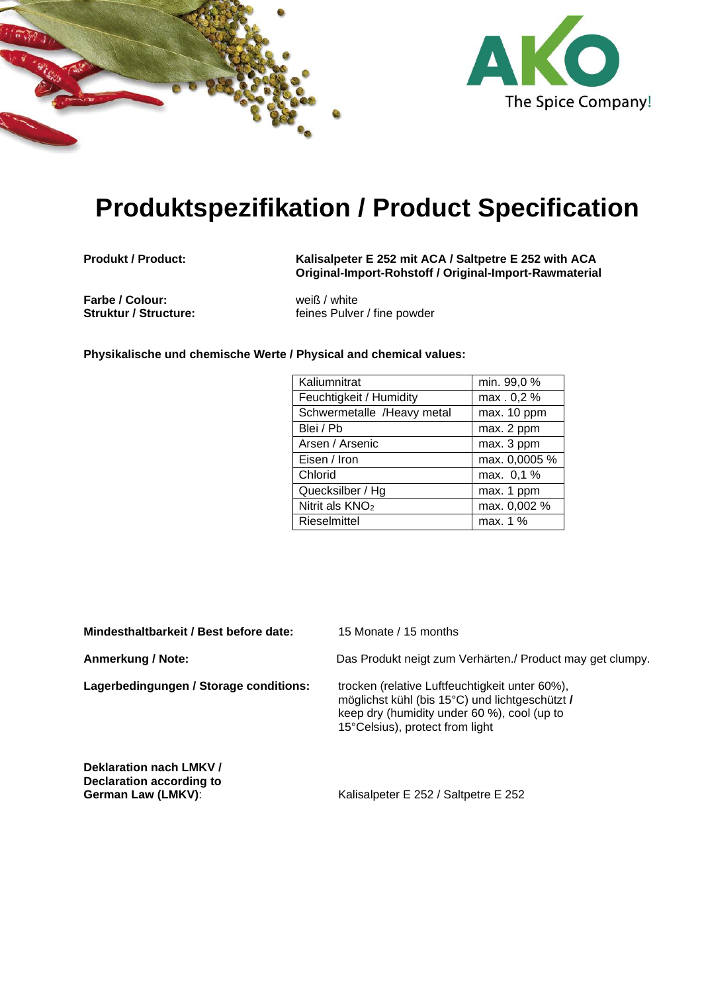



## **Produktspezifikation / Product Specification**

**Produkt / Product: Kalisalpeter E 252 mit ACA / Saltpetre E 252 with ACA Original-Import-Rohstoff / Original-Import-Rawmaterial**

**Farbe / Colour:** weiß / white<br> **Struktur / Structure:** enterprise of the feines Pulve

feines Pulver / fine powder

**Physikalische und chemische Werte / Physical and chemical values:** 

| Kaliumnitrat                | min. 99,0 %   |
|-----------------------------|---------------|
| Feuchtigkeit / Humidity     | max . 0,2 %   |
| Schwermetalle /Heavy metal  | max. 10 ppm   |
| Blei / Pb                   | max. 2 ppm    |
| Arsen / Arsenic             | max. 3 ppm    |
| Eisen / Iron                | max. 0,0005 % |
| Chlorid                     | max. 0,1 %    |
| Quecksilber / Hg            | max. 1 ppm    |
| Nitrit als KNO <sub>2</sub> | max. 0,002 %  |
| Rieselmittel                | max. 1 %      |

**Mindesthaltbarkeit / Best before date:** 15 Monate / 15 months

Lagerbedingungen / Storage conditions: trocken (relative Luftfeuchtigkeit unter 60%),

**Anmerkung / Note:** Das Produkt neigt zum Verhärten./ Product may get clumpy.

möglichst kühl (bis 15°C) und lichtgeschützt **/** keep dry (humidity under 60 %), cool (up to 15°Celsius), protect from light

**Deklaration nach LMKV / Declaration according to** 

**German Law (LMKV):** Kalisalpeter E 252 / Saltpetre E 252